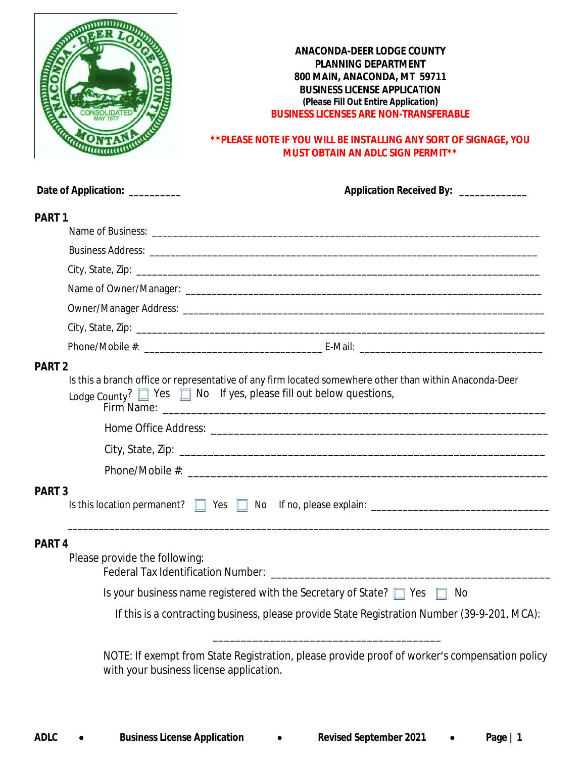

# **\*\*PLEASE NOTE IF YOU WILL BE INSTALLING ANY SORT OF SIGNAGE, YOU MUST OBTAIN AN ADLC SIGN PERMIT\*\***

|                   | Date of Application: __________                                                                                                                                                        | Application Received By: ____________                                                                                                    |  |  |  |  |
|-------------------|----------------------------------------------------------------------------------------------------------------------------------------------------------------------------------------|------------------------------------------------------------------------------------------------------------------------------------------|--|--|--|--|
| PART <sub>1</sub> |                                                                                                                                                                                        |                                                                                                                                          |  |  |  |  |
|                   |                                                                                                                                                                                        |                                                                                                                                          |  |  |  |  |
|                   |                                                                                                                                                                                        |                                                                                                                                          |  |  |  |  |
|                   |                                                                                                                                                                                        |                                                                                                                                          |  |  |  |  |
|                   |                                                                                                                                                                                        |                                                                                                                                          |  |  |  |  |
|                   |                                                                                                                                                                                        |                                                                                                                                          |  |  |  |  |
|                   |                                                                                                                                                                                        |                                                                                                                                          |  |  |  |  |
|                   |                                                                                                                                                                                        |                                                                                                                                          |  |  |  |  |
| <b>PART 2</b>     |                                                                                                                                                                                        |                                                                                                                                          |  |  |  |  |
|                   | Is this a branch office or representative of any firm located somewhere other than within Anaconda-Deer<br>Lodge County? $\Box$ Yes $\Box$ No If yes, please fill out below questions, |                                                                                                                                          |  |  |  |  |
|                   |                                                                                                                                                                                        |                                                                                                                                          |  |  |  |  |
|                   |                                                                                                                                                                                        |                                                                                                                                          |  |  |  |  |
|                   |                                                                                                                                                                                        |                                                                                                                                          |  |  |  |  |
| <b>PART 3</b>     |                                                                                                                                                                                        |                                                                                                                                          |  |  |  |  |
|                   |                                                                                                                                                                                        |                                                                                                                                          |  |  |  |  |
|                   |                                                                                                                                                                                        |                                                                                                                                          |  |  |  |  |
| PART <sub>4</sub> | Please provide the following:                                                                                                                                                          |                                                                                                                                          |  |  |  |  |
|                   |                                                                                                                                                                                        | Is your business name registered with the Secretary of State? $\Box$ Yes<br>No                                                           |  |  |  |  |
|                   |                                                                                                                                                                                        | If this is a contracting business, please provide State Registration Number (39-9-201, MCA):                                             |  |  |  |  |
|                   |                                                                                                                                                                                        | NOTE: If exempt from State Registration, please provide proof of worker's compensation policy<br>with your business license application. |  |  |  |  |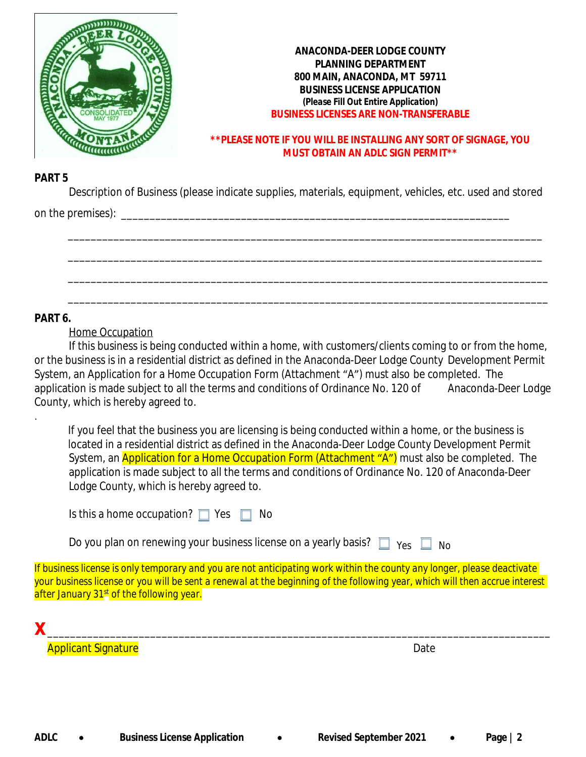

## **\*\*PLEASE NOTE IF YOU WILL BE INSTALLING ANY SORT OF SIGNAGE, YOU MUST OBTAIN AN ADLC SIGN PERMIT\*\***

## **PART 5**

Description of Business (please indicate supplies, materials, equipment, vehicles, etc. used and stored on the premises):  $\Box$ 

\_\_\_\_\_\_\_\_\_\_\_\_\_\_\_\_\_\_\_\_\_\_\_\_\_\_\_\_\_\_\_\_\_\_\_\_\_\_\_\_\_\_\_\_\_\_\_\_\_\_\_\_\_\_\_\_\_\_\_\_\_\_\_\_\_\_\_\_\_\_\_\_\_\_\_\_\_\_\_\_\_\_\_

\_\_\_\_\_\_\_\_\_\_\_\_\_\_\_\_\_\_\_\_\_\_\_\_\_\_\_\_\_\_\_\_\_\_\_\_\_\_\_\_\_\_\_\_\_\_\_\_\_\_\_\_\_\_\_\_\_\_\_\_\_\_\_\_\_\_\_\_\_\_\_\_\_\_\_\_\_\_\_\_\_\_\_

\_\_\_\_\_\_\_\_\_\_\_\_\_\_\_\_\_\_\_\_\_\_\_\_\_\_\_\_\_\_\_\_\_\_\_\_\_\_\_\_\_\_\_\_\_\_\_\_\_\_\_\_\_\_\_\_\_\_\_\_\_\_\_\_\_\_\_\_\_\_\_\_\_\_\_\_\_\_\_\_\_\_\_\_

\_\_\_\_\_\_\_\_\_\_\_\_\_\_\_\_\_\_\_\_\_\_\_\_\_\_\_\_\_\_\_\_\_\_\_\_\_\_\_\_\_\_\_\_\_\_\_\_\_\_\_\_\_\_\_\_\_\_\_\_\_\_\_\_\_\_\_\_\_\_\_\_\_\_\_\_\_\_\_\_\_\_\_\_

## **PART 6.**

.

Home Occupation

If this business is being conducted within a home, with customers/clients coming to or from the home, or the business is in a residential district as defined in the Anaconda-Deer Lodge County Development Permit System, an Application for a Home Occupation Form (Attachment "A") must also be completed. The application is made subject to all the terms and conditions of Ordinance No. 120 of Anaconda-Deer Lodge County, which is hereby agreed to.

 If you feel that the business you are licensing is being conducted within a home, or the business is located in a residential district as defined in the Anaconda-Deer Lodge County Development Permit System, an **Application for a Home Occupation Form (Attachment "A")** must also be completed. The application is made subject to all the terms and conditions of Ordinance No. 120 of Anaconda-Deer Lodge County, which is hereby agreed to.

Is this a home occupation?  $\Box$  Yes  $\Box$  No

Do you plan on renewing your business license on a yearly basis?  $\Box$   $\gamma_{\rm es}$   $\Box$  No

*If business license is only temporary and you are not anticipating work within the county any longer, please deactivate your business license or you will be sent a renewal at the beginning of the following year, which will then accrue interest after January 31st of the following year.*

**x** *\_\_\_\_\_\_\_\_\_\_\_\_\_\_\_\_\_\_\_\_\_\_\_\_\_\_\_\_\_\_\_\_\_\_\_\_\_\_\_\_\_\_\_\_\_\_\_\_\_\_\_\_\_\_\_\_\_\_\_\_\_\_\_\_\_\_\_\_\_\_\_\_\_\_\_\_\_\_\_\_\_\_\_\_\_\_\_\_* Applicant Signature **Date**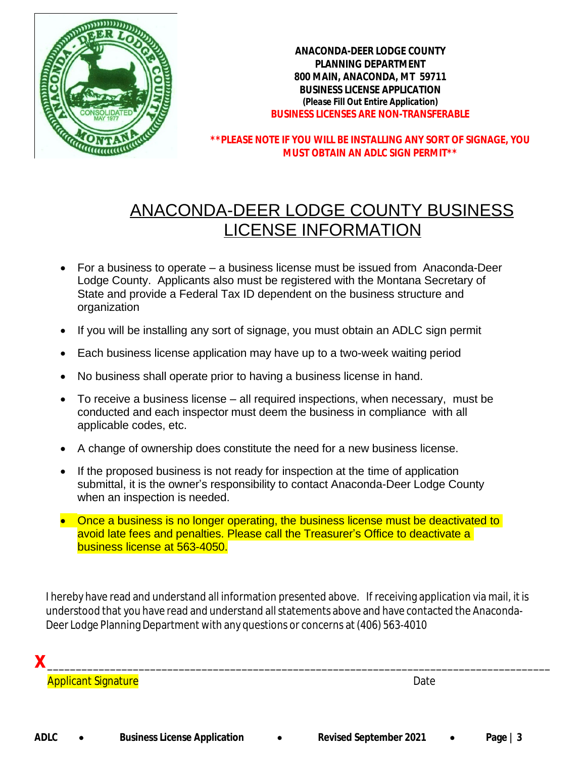

**\*\*PLEASE NOTE IF YOU WILL BE INSTALLING ANY SORT OF SIGNAGE, YOU MUST OBTAIN AN ADLC SIGN PERMIT\*\***

# ANACONDA-DEER LODGE COUNTY BUSINESS LICENSE INFORMATION

- For a business to operate a business license must be issued from Anaconda-Deer Lodge County. Applicants also must be registered with the Montana Secretary of State and provide a Federal Tax ID dependent on the business structure and organization
- If you will be installing any sort of signage, you must obtain an ADLC sign permit
- Each business license application may have up to a two-week waiting period
- No business shall operate prior to having a business license in hand.
- To receive a business license all required inspections, when necessary, must be conducted and each inspector must deem the business in compliance with all applicable codes, etc.
- A change of ownership does constitute the need for a new business license.
- If the proposed business is not ready for inspection at the time of application submittal, it is the owner's responsibility to contact Anaconda-Deer Lodge County when an inspection is needed.
- Once a business is no longer operating, the business license must be deactivated to avoid late fees and penalties. Please call the Treasurer's Office to deactivate a business license at 563-4050.

I hereby have read and understand all information presented above. If receiving application via mail, it is understood that you have read and understand all statements above and have contacted the Anaconda-Deer Lodge Planning Department with any questions or concerns at(406) 563-4010

**x** *\_\_\_\_\_\_\_\_\_\_\_\_\_\_\_\_\_\_\_\_\_\_\_\_\_\_\_\_\_\_\_\_\_\_\_\_\_\_\_\_\_\_\_\_\_\_\_\_\_\_\_\_\_\_\_\_\_\_\_\_\_\_\_\_\_\_\_\_\_\_\_\_\_\_\_\_\_\_\_\_\_\_\_\_\_\_\_\_* **Applicant Signature Date**